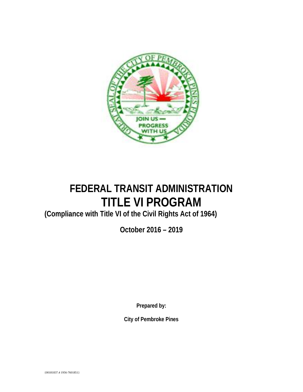

# **FEDERAL TRANSIT ADMINISTRATION TITLE VI PROGRAM**

**(Compliance with Title VI of the Civil Rights Act of 1964)**

**October 2016 – 2019**

**Prepared by:**

**City of Pembroke Pines**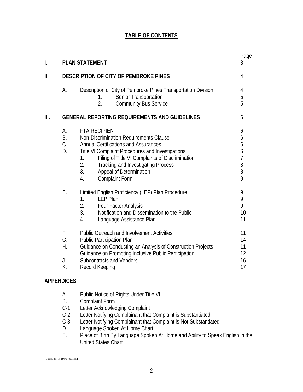## **TABLE OF CONTENTS**

| I.   |                                  | <b>PLAN STATEMENT</b>                                                                                                                                                                                                                                                                                                                         | Page<br>3                                         |
|------|----------------------------------|-----------------------------------------------------------------------------------------------------------------------------------------------------------------------------------------------------------------------------------------------------------------------------------------------------------------------------------------------|---------------------------------------------------|
| ΙΙ.  |                                  | DESCRIPTION OF CITY OF PEMBROKE PINES                                                                                                                                                                                                                                                                                                         | 4                                                 |
|      | А.                               | Description of City of Pembroke Pines Transportation Division<br>Senior Transportation<br>1.<br>$\overline{2}$ .<br><b>Community Bus Service</b>                                                                                                                                                                                              | 4<br>5<br>5                                       |
| III. |                                  | <b>GENERAL REPORTING REQUIREMENTS AND GUIDELINES</b>                                                                                                                                                                                                                                                                                          | 6                                                 |
|      | А.<br><b>B.</b><br>C.<br>D.      | <b>FTA RECIPIENT</b><br>Non-Discrimination Requirements Clause<br><b>Annual Certifications and Assurances</b><br>Title VI Complaint Procedures and Investigations<br>Filing of Title VI Complaints of Discrimination<br>1.<br>2.<br><b>Tracking and Investigating Process</b><br>3.<br>Appeal of Determination<br><b>Complaint Form</b><br>4. | 6<br>6<br>6<br>6<br>$\overline{1}$<br>8<br>8<br>9 |
|      | Ε.                               | Limited English Proficiency (LEP) Plan Procedure<br>1.<br><b>LEP Plan</b><br>2.<br>Four Factor Analysis<br>3 <sub>1</sub><br>Notification and Dissemination to the Public<br>4.<br>Language Assistance Plan                                                                                                                                   | 9<br>9<br>9<br>10<br>11                           |
|      | F.<br>G.<br>Η.<br>I.<br>J.<br>К. | <b>Public Outreach and Involvement Activities</b><br><b>Public Participation Plan</b><br>Guidance on Conducting an Analysis of Construction Projects<br>Guidance on Promoting Inclusive Public Participation<br><b>Subcontracts and Vendors</b><br>Record Keeping                                                                             | 11<br>14<br>11<br>12<br>16<br>17                  |

#### **APPENDICES**

- A. Public Notice of Rights Under Title VI
- B. Complaint Form<br>C-1. Letter Acknowled
- Letter Acknowledging Complaint
- C-2. Letter Notifying Complainant that Complaint is Substantiated<br>C-3. Letter Notifying Complainant that Complaint is Not-Substantia
- C-3. Letter Notifying Complainant that Complaint is Not-Substantiated<br>D. Language Spoken At Home Chart
- Language Spoken At Home Chart
- E. Place of Birth By Language Spoken At Home and Ability to Speak English in the United States Chart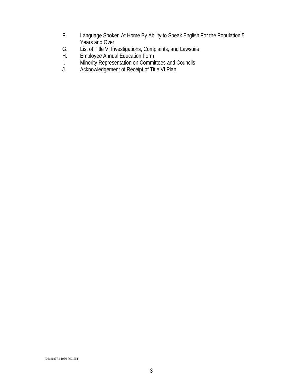- F. Language Spoken At Home By Ability to Speak English For the Population 5 Years and Over
- G. List of Title VI Investigations, Complaints, and Lawsuits<br>H. Employee Annual Education Form
- H. Employee Annual Education Form<br>I. Minority Representation on Commit
- I. Minority Representation on Committees and Councils<br>J. Acknowledgement of Receipt of Title VI Plan
- Acknowledgement of Receipt of Title VI Plan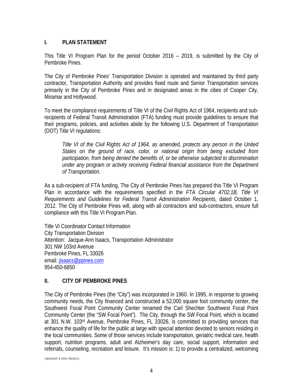#### **I. PLAN STATEMENT**

This Title VI Program Plan for the period October 2016 – 2019, is submitted by the City of Pembroke Pines.

The City of Pembroke Pines' Transportation Division is operated and maintained by third party contractor, Transportation Authority and provides fixed route and Senior Transportation services primarily in the City of Pembroke Pines and in designated areas in the cities of Cooper City, Miramar and Hollywood.

To meet the compliance requirements of Title VI of the Civil Rights Act of 1964, recipients and subrecipients of Federal Transit Administration (FTA) funding must provide guidelines to ensure that their programs, policies, and activities abide by the following U.S. Department of Transportation (DOT) Title VI regulations:

*Title VI of the Civil Rights Act of 1964, as amended, protects any person in the United States on the ground of race, color, or national origin from being excluded from participation, from being denied the benefits of, or be otherwise subjected to discrimination under any program or activity receiving Federal financial assistance from the Department of Transportation.*

As a sub-recipient of FTA funding, The City of Pembroke Pines has prepared this Title VI Program Plan in accordance with the requirements specified in the *FTA Circular 4702.1B, Title VI Requirements and Guidelines for Federal Transit Administration Recipients,* dated October 1, 2012. The City of Pembroke Pines will, along with all contractors and sub-contractors, ensure full compliance with this Title VI Program Plan.

Title VI Coordinator Contact Information City Transportation Division Attention: Jacque-Ann Isaacs, Transportation Administrator 301 NW 103rd Avenue Pembroke Pines, FL 33026 email: [jisaacs@ppines.com](mailto:jisaacs@ppines.com) 954-450-6850

#### **II. CITY OF PEMBROKE PINES**

The City of Pembroke Pines (the "City") was incorporated in 1960. In 1995, in response to growing community needs, the City financed and constructed a 52,000 square foot community center, the Southwest Focal Point Community Center renamed the Carl Shechter Southwest Focal Point Community Center (the "SW Focal Point"). The City, through the SW Focal Point, which is located at 301 N.W. 103rd Avenue, Pembroke Pines, FL 33026, is committed to providing services that enhance the quality of life for the public at large with special attention devoted to seniors residing in the local communities. Some of those services include transportation, geriatric medical care, health support, nutrition programs, adult and Alzheimer's day care, social support, information and referrals, counseling, recreation and leisure. It's mission is: 1) to provide a centralized, welcoming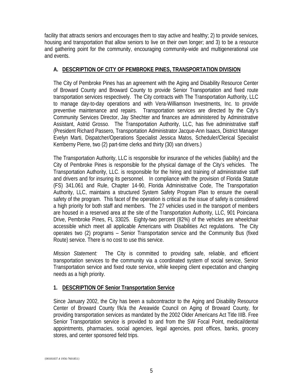facility that attracts seniors and encourages them to stay active and healthy; 2) to provide services, housing and transportation that allow seniors to live on their own longer; and 3) to be a resource and gathering point for the community, encouraging community-wide and multigenerational use and events.

#### **A. DESCRIPTION OF CITY OF PEMBROKE PINES, TRANSPORTATION DIVISION**

The City of Pembroke Pines has an agreement with the Aging and Disability Resource Center of Broward County and Broward County to provide Senior Transportation and fixed route transportation services respectively. The City contracts with The Transportation Authority, LLC to manage day-to-day operations and with Vera-Williamson Investments, Inc. to provide preventive maintenance and repairs. Transportation services are directed by the City's Community Services Director, Jay Shechter and finances are administered by Administrative Assistant, Astrid Grosso. The Transportation Authority, LLC, has five administrative staff (President Richard Passero, Transportation Administrator Jacque-Ann Isaacs, District Manager Evelyn Marti, Dispatcher/Operations Specialist Jessica Matos, Scheduler/Clerical Specialist Kemberny Pierre, two (2) part-time clerks and thirty (30) van drivers.)

The Transportation Authority, LLC is responsible for insurance of the vehicles (liability) and the City of Pembroke Pines is responsible for the physical damage of the City's vehicles. The Transportation Authority, LLC. is responsible for the hiring and training of administrative staff and drivers and for insuring its personnel. In compliance with the provision of Florida Statute (FS) 341.061 and Rule, Chapter 14-90, Florida Administrative Code, The Transportation Authority, LLC, maintains a structured System Safety Program Plan to ensure the overall safety of the program. This facet of the operation is critical as the issue of safety is considered a high priority for both staff and members. The 27 vehicles used in the transport of members are housed in a reserved area at the site of the Transportation Authority, LLC, 901 Poinciana Drive, Pembroke Pines, FL 33025. Eighty-two percent (82%) of the vehicles are wheelchair accessible which meet all applicable Americans with Disabilities Act regulations. The City operates two (2) programs – Senior Transportation service and the Community Bus (fixed Route) service. There is no cost to use this service.

*Mission Statement:* The City is committed to providing safe, reliable, and efficient transportation services to the community via a coordinated system of social service, Senior Transportation service and fixed route service, while keeping client expectation and changing needs as a high priority.

#### **1. DESCRIPTION OF Senior Transportation Service**

Since January 2002, the City has been a subcontractor to the Aging and Disability Resource Center of Broward County f/k/a the Areawide Council on Aging of Broward County, for providing transportation services as mandated by the 2002 Older Americans Act Title IIIB. Free Senior Transportation service is provided to and from the SW Focal Point, medical/dental appointments, pharmacies, social agencies, legal agencies, post offices, banks, grocery stores, and center sponsored field trips.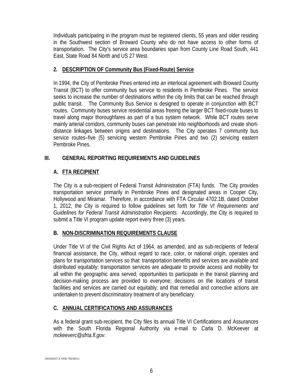Individuals participating in the program must be registered clients, 55 years and older residing in the Southwest section of Broward County who do not have access to other forms of transportation. The City's service area boundaries span from County Line Road South, 441 East, State Road 84 North and US 27 West.

## **2. DESCRIPTION OF Community Bus (Fixed-Route) Service**

In 1994, the City of Pembroke Pines entered into an interlocal agreement with Broward County Transit (BCT) to offer community bus service to residents in Pembroke Pines. The service seeks to increase the number of destinations within the city limits that can be reached through public transit. The Community Bus Service is designed to operate in conjunction with BCT routes. Community buses service residential areas freeing the larger BCT fixed-route buses to travel along major thoroughfares as part of a bus system network. While BCT routes serve mainly arterial corridors, community buses can penetrate into neighborhoods and create shortdistance linkages between origins and destinations. The City operates 7 community bus service routes–five (5) servicing western Pembroke Pines and two (2) servicing eastern Pembroke Pines.

## **III. GENERAL REPORTING REQUIREMENTS AND GUIDELINES**

## **A. FTA RECIPIENT**

The City is a sub-recipient of Federal Transit Administration (FTA) funds. The City provides transportation service primarily in Pembroke Pines and designated areas in Cooper City, Hollywood and Miramar. Therefore, in accordance with FTA Circular 4702.1B, dated October 1, 2012, the City is required to follow guidelines set forth for *Title VI Requirements and Guidelines for Federal Transit Administration Recipients.* Accordingly, the City is required to submit a Title VI program update report every three (3) years.

## **B. NON-DISCRIMINATION REQUIREMENTS CLAUSE**

Under Title VI of the Civil Rights Act of 1964, as amended, and as sub-recipients of federal financial assistance, the City, without regard to race, color, or national origin, operates and plans for transportation services so that: transportation benefits and services are available and distributed equitably; transportation services are adequate to provide access and mobility for all within the geographic area served; opportunities to participate in the transit planning and decision-making process are provided to everyone; decisions on the locations of transit facilities and services are carried out equitably; and that remedial and corrective actions are undertaken to prevent discriminatory treatment of any beneficiary.

## **C. ANNUAL CERTIFICATIONS AND ASSURANCES**

As a federal grant sub-recipient, the City files its annual Title VI Certifications and Assurances with the South Florida Regional Authority via e-mail to Carla D. McKeever at *mckeeverc@sfrta.fl.gov*.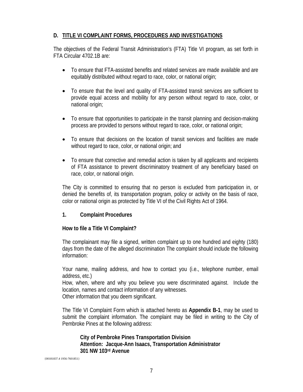## **D. TITLE VI COMPLAINT FORMS, PROCEDURES AND INVESTIGATIONS**

The objectives of the Federal Transit Administration's (FTA) Title VI program, as set forth in FTA Circular 4702.1B are:

- To ensure that FTA-assisted benefits and related services are made available and are equitably distributed without regard to race, color, or national origin;
- To ensure that the level and quality of FTA-assisted transit services are sufficient to provide equal access and mobility for any person without regard to race, color, or national origin;
- To ensure that opportunities to participate in the transit planning and decision-making process are provided to persons without regard to race, color, or national origin;
- To ensure that decisions on the location of transit services and facilities are made without regard to race, color, or national origin; and
- To ensure that corrective and remedial action is taken by all applicants and recipients of FTA assistance to prevent discriminatory treatment of any beneficiary based on race, color, or national origin.

The City is committed to ensuring that no person is excluded from participation in, or denied the benefits of, its transportation program, policy or activity on the basis of race, color or national origin as protected by Title VI of the Civil Rights Act of 1964.

#### **1. Complaint Procedures**

#### **How to file a Title VI Complaint?**

The complainant may file a signed, written complaint up to one hundred and eighty (180) days from the date of the alleged discrimination The complaint should include the following information:

Your name, mailing address, and how to contact you (i.e., telephone number, email address, etc.)

How, when, where and why you believe you were discriminated against. Include the location, names and contact information of any witnesses.

Other information that you deem significant.

The Title VI Complaint Form which is attached hereto as **Appendix B-1**, may be used to submit the complaint information. The complaint may be filed in writing to the City of Pembroke Pines at the following address:

**City of Pembroke Pines Transportation Division Attention: Jacque-Ann Isaacs, Transportation Administrator 301 NW 103rd Avenue**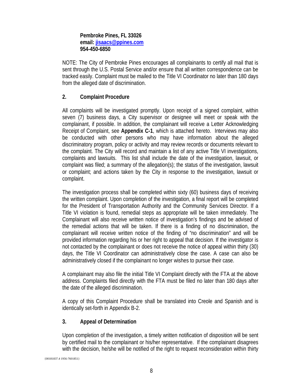#### **Pembroke Pines, FL 33026 email: [jisaacs@ppines.com](mailto:jisaacs@ppines.com) 954-450-6850**

NOTE: The City of Pembroke Pines encourages all complainants to certify all mail that is sent through the U.S. Postal Service and/or ensure that all written correspondence can be tracked easily. Complaint must be mailed to the Title VI Coordinator no later than 180 days from the alleged date of discrimination.

## **2. Complaint Procedure**

All complaints will be investigated promptly. Upon receipt of a signed complaint, within seven (7) business days, a City supervisor or designee will meet or speak with the complainant, if possible. In addition, the complainant will receive a Letter Acknowledging Receipt of Complaint, see **Appendix C-1**, which is attached hereto. Interviews may also be conducted with other persons who may have information about the alleged discriminatory program, policy or activity and may review records or documents relevant to the complaint. The City will record and maintain a list of any active Title VI investigations, complaints and lawsuits. This list shall include the date of the investigation, lawsuit, or complaint was filed; a summary of the allegation(s); the status of the investigation, lawsuit or complaint; and actions taken by the City in response to the investigation, lawsuit or complaint.

The investigation process shall be completed within sixty (60) business days of receiving the written complaint. Upon completion of the investigation, a final report will be completed for the President of Transportation Authority and the Community Services Director. If a Title VI violation is found, remedial steps as appropriate will be taken immediately. The Complainant will also receive written notice of investigation's findings and be advised of the remedial actions that will be taken. If there is a finding of no discrimination, the complainant will receive written notice of the finding of "no discrimination" and will be provided information regarding his or her right to appeal that decision. If the investigator is not contacted by the complainant or does not receive the notice of appeal within thirty (30) days, the Title VI Coordinator can administratively close the case. A case can also be administratively closed if the complainant no longer wishes to pursue their case.

A complainant may also file the initial Title VI Complaint directly with the FTA at the above address. Complaints filed directly with the FTA must be filed no later than 180 days after the date of the alleged discrimination.

A copy of this Complaint Procedure shall be translated into Creole and Spanish and is identically set-forth in Appendix B-2.

#### **3. Appeal of Determination**

Upon completion of the investigation, a timely written notification of disposition will be sent by certified mail to the complainant or his/her representative. If the complainant disagrees with the decision, he/she will be notified of the right to request reconsideration within thirty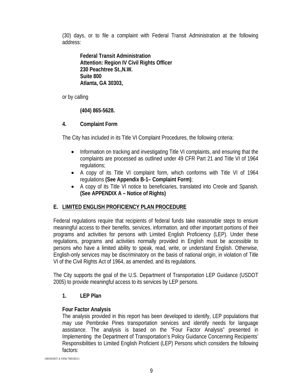(30) days, or to file a complaint with Federal Transit Administration at the following address:

**Federal Transit Administration Attention: Region IV Civil Rights Officer 230 Peachtree St.,N.W. Suite 800 Atlanta, GA 30303,** 

or by calling

**(404) 865-5628.** 

## **4. Complaint Form**

The City has included in its Title VI Complaint Procedures, the following criteria:

- Information on tracking and investigating Title VI complaints, and ensuring that the complaints are processed as outlined under 49 CFR Part 21 and Title VI of 1964 regulations;
- A copy of its Title VI complaint form, which conforms with Title VI of 1964 regulations **(See Appendix B-1– Complaint Form)**;
- A copy of its Title VI notice to beneficiaries, translated into Creole and Spanish. **(See APPENDIX A – Notice of Rights)**

## **E. LIMITED ENGLISH PROFICIENCY PLAN PROCEDURE**

Federal regulations require that recipients of federal funds take reasonable steps to ensure meaningful access to their benefits, services, information, and other important portions of their programs and activities for persons with Limited English Proficiency (LEP). Under these regulations, programs and activities normally provided in English must be accessible to persons who have a limited ability to speak, read, write, or understand English. Otherwise, English-only services may be discriminatory on the basis of national origin, in violation of Title VI of the Civil Rights Act of 1964, as amended, and its regulations.

The City supports the goal of the U.S. Department of Transportation LEP Guidance (USDOT 2005) to provide meaningful access to its services by LEP persons.

## **1. LEP Plan**

## **Four Factor Analysis**

The analysis provided in this report has been developed to identify, LEP populations that may use Pembroke Pines transportation services and identify needs for language assistance. The analysis is based on the "Four Factor Analysis" presented in Implementing the Department of Transportation's Policy Guidance Concerning Recipients' Responsibilities to Limited English Proficient (LEP) Persons which considers the following factors: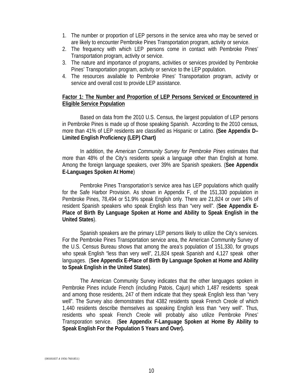- 1. The number or proportion of LEP persons in the service area who may be served or are likely to encounter Pembroke Pines Transportation program, activity or service.
- 2. The frequency with which LEP persons come in contact with Pembroke Pines' Transportation program, activity or service.
- 3. The nature and importance of programs, activities or services provided by Pembroke Pines' Transportation program, activity or service to the LEP population.
- 4. The resources available to Pembroke Pines' Transportation program, activity or service and overall cost to provide LEP assistance.

#### **Factor 1: The Number and Proportion of LEP Persons Serviced or Encountered in Eligible Service Population**

Based on data from the 2010 U.S. Census, the largest population of LEP persons in Pembroke Pines is made up of those speaking Spanish. According to the 2010 census, more than 41% of LEP residents are classified as Hispanic or Latino. **(See Appendix D– Limited English Proficiency (LEP) Chart)**

In addition, the *American Community Survey for Pembroke Pines* estimates that more than 48% of the City's residents speak a language other than English at home. Among the foreign language speakers, over 39% are Spanish speakers. (**See Appendix E-Languages Spoken At Home**)

Pembroke Pines Transportation's service area has LEP populations which qualify for the Safe Harbor Provision. As shown in Appendix F, of the 151,330 population in Pembroke Pines, 78,494 or 51.9% speak English only. There are 21,824 or over 14% of resident Spanish speakers who speak English less than "very well". (**See Appendix E-Place of Birth By Language Spoken at Home and Ability to Speak English in the United States**).

Spanish speakers are the primary LEP persons likely to utilize the City's services. For the Pembroke Pines Transportation service area, the American Community Survey of the U.S. Census Bureau shows that among the area's population of 151,330, for groups who speak English "less than very well", 21,824 speak Spanish and 4,127 speak other languages. (**See Appendix E-Place of Birth By Language Spoken at Home and Ability to Speak English in the United States)**.

The American Community Survey indicates that the other languages spoken in Pembroke Pines include French (including Patois, Cajun) which 1,487 residents speak and among those residents, 247 of them indicate that they speak English less than "very well". The Survey also demonstrates that 4382 residents speak French Creole of which 1,440 residents describe themselves as speaking English less than "very well". Thus, residents who speak French Creole will probably also utilize Pembroke Pines' Transporation service. (**See Appendix F-Language Spoken at Home By Ability to Speak English For the Population 5 Years and Over).**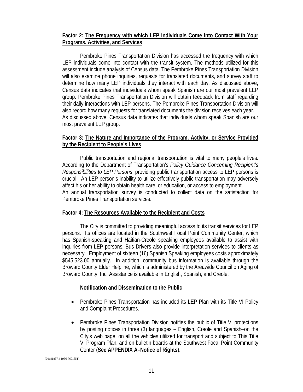#### **Factor 2: The Frequency with which LEP individuals Come Into Contact With Your Programs, Activities, and Services**

Pembroke Pines Transportation Division has accessed the frequency with which LEP individuals come into contact with the transit system. The methods utilized for this assessment include analysis of Census data. The Pembroke Pines Transportation Division will also examine phone inquiries, requests for translated documents, and survey staff to determine how many LEP individuals they interact with each day. As discussed above, Census data indicates that individuals whom speak Spanish are our most prevelent LEP group. Pembroke Pines Transportation Division will obtain feedback from staff regarding their daily interactions with LEP persons. The Pembroke Pines Transportation Division will also record how many requests for translated documents the division receives each year. As discussed above, Census data indicates that individuals whom speak Spanish are our most prevalent LEP group.

#### **Factor 3: The Nature and Importance of the Program, Activity, or Service Provided by the Recipient to People's Lives**

Public transportation and regional transportation is vital to many people's lives. According to the Department of Transportation's *Policy Guidance Concerning Recipient's Responsibilities to LEP Persons*, providing public transportation access to LEP persons is crucial. An LEP person's inability to utilize effectively public transportation may adversely affect his or her ability to obtain health care, or education, or access to employment. An annual transportation survey is conducted to collect data on the satisfaction for Pembroke Pines Transportation services.

#### **Factor 4: The Resources Available to the Recipient and Costs**

The City is committed to providing meaningful access to its transit services for LEP persons. Its offices are located in the Southwest Focal Point Community Center, which has Spanish-speaking and Haitian-Creole speaking employees available to assist with inquiries from LEP persons. Bus Drivers also provide interpretation services to clients as necessary. Employment of sixteen (16) Spanish Speaking employees costs approximately \$545,523.00 annually. In addition, community bus information is available through the Broward County Elder Helpline, which is administered by the Areawide Council on Aging of Broward County, Inc*.* Assistance is available in English, Spanish, and Creole.

#### **Notification and Dissemination to the Public**

- Pembroke Pines Transportation has included its LEP Plan with its Title VI Policy and Complaint Procedures.
- Pembroke Pines Transportation Division notifies the public of Title VI protections by posting notices in three (3) languages – English, Creole and Spanish–on the City's web page, on all the vehicles utilized for transport and subject to This Title VI Program Plan, and on bulletin boards at the Southwest Focal Point Community Center (**See APPENDIX A–Notice of Rights**).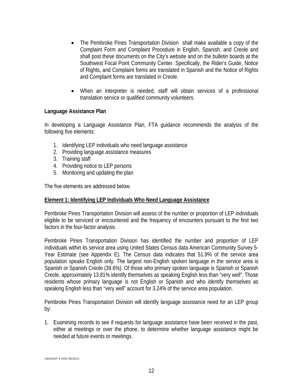- The Pembroke Pines Transportation Division shall make available a copy of the Complaint Form and Complaint Procedure in English, Spanish, and Creole and shall post these documents on the City's website and on the bulletin boards at the Southwest Focal Point Community Center. Specifically, the Rider's Guide, Notice of Rights, and Complaint forms are translated in Spanish and the Notice of Rights and Complaint forms are translated in Creole.
- When an interpreter is needed, staff will obtain services of a professional translation service or qualified community volunteers.

#### **Language Assistance Plan**

In developing a Language Assistance Plan, FTA guidance recommends the analysis of the following five elements:

- 1. Identifying LEP individuals who need language assistance
- 2. Providing language assistance measures
- 3. Training staff
- 4. Providing notice to LEP persons
- 5. Monitoring and updating the plan

The five elements are addressed below.

#### **Element 1: Identifying LEP Individuals Who Need Language Assistance**

Pembroke Pines Transportation Division will assess of the number or proportion of LEP individuals eligible to be serviced or encountered and the frequency of encounters pursuant to the first two factors in the four-factor analysis.

Pembroke Pines Transportation Division has identified the number and proportion of LEP individuals within its service area using United States Census data American Community Survey 5- Year Estimate (see Appendix E). The Census data indicates that 51.9% of the service area population speaks English only. The largest non-English spoken language in the service area is Spanish or Spanish Creole (39.6%). Of those who primary spoken language is Spanish or Spanish Creole, approximately 13.81% identify themselves as speaking English less than "very well". Those residents whose primary language is not English or Spanish and who identify themselves as speaking English less than "very well" account for 3.24% of the service area population.

Pembroke Pines Transportation Division will identify language assistance need for an LEP group by:

1. Examining records to see if requests for language assistance have been received in the past, either at meetings or over the phone, to determine whether language assistance might be needed at future events or meetings.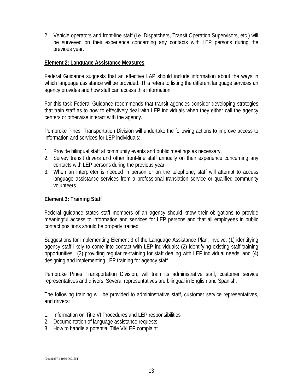2. Vehicle operators and front-line staff (i.e. Dispatchers, Transit Operation Supervisors, etc.) will be surveyed on their experience concerning any contacts with LEP persons during the previous year.

#### **Element 2: Language Assistance Measures**

Federal Guidance suggests that an effective LAP should include information about the ways in which language assistance will be provided. This refers to listing the different language services an agency provides and how staff can access this information.

For this task Federal Guidance recommends that transit agencies consider developing strategies that train staff as to how to effectively deal with LEP individuals when they either call the agency centers or otherwise interact with the agency.

Pembroke Pines Transportation Division will undertake the following actions to improve access to information and services for LEP individuals:

- 1. Provide bilingual staff at community events and public meetings as necessary.
- 2. Survey transit drivers and other front-line staff annually on their experience concerning any contacts with LEP persons during the previous year.
- 3. When an interpreter is needed in person or on the telephone, staff will attempt to access language assistance services from a professional translation service or qualified community volunteers.

#### **Element 3: Training Staff**

Federal guidance states staff members of an agency should know their obligations to provide meaningful access to information and services for LEP persons and that all employees in public contact positions should be properly trained.

Suggestions for implementing Element 3 of the Language Assistance Plan, involve: (1) identifying agency staff likely to come into contact with LEP individuals; (2) identifying existing staff training opportunities; (3) providing regular re-training for staff dealing with LEP individual needs; and (4) designing and implementing LEP training for agency staff.

Pembroke Pines Transportation Division, will train its administrative staff, customer service representatives and drivers. Several representatives are bilingual in English and Spanish.

The following training will be provided to admininstrative staff, customer service representatives, and drivers:

- 1. Information on Title VI Procedures and LEP responsibilities
- 2. Documentation of language assistance requests
- 3. How to handle a potential Title VI/LEP complaint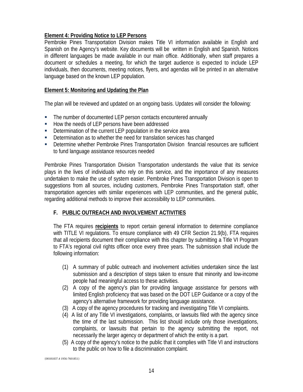## **Element 4: Providing Notice to LEP Persons**

Pembroke Pines Transportation Division makes Title VI information available in English and Spanish on the Agency's website. Key documents will be written in English and Spanish. Notices in different languages be made available in our main office. Additionally, when staff prepares a document or schedules a meeting, for which the target audience is expected to include LEP individuals, then documents, meeting notices, flyers, and agendas will be printed in an alternative language based on the known LEP population.

#### **Element 5: Monitoring and Updating the Plan**

The plan will be reviewed and updated on an ongoing basis. Updates will consider the following:

- The number of documented LEP person contacts encountered annually
- How the needs of LEP persons have been addressed
- Determination of the current LEP population in the service area
- Determination as to whether the need for translation services has changed
- Determine whether Pembroke Pines Transportation Division financial resources are sufficient to fund language assistance resources needed

Pembroke Pines Transportation Division Transportation understands the value that its service plays in the lives of individuals who rely on this service, and the importance of any measures undertaken to make the use of system easier. Pembroke Pines Transportation Division is open to suggestions from all sources, including customers, Pembroke Pines Transportation staff, other transportation agencies with similar experiences with LEP communities, and the general public, regarding additional methods to improve their accessibility to LEP communities.

## **F. PUBLIC OUTREACH AND INVOLVEMENT ACTIVITIES**

The FTA requires **recipients** to report certain general information to determine compliance with TITLE VI regulations. To ensure compliance with 49 CFR Section 21.9(b), FTA requires that all recipients document their compliance with this chapter by submitting a Title VI Program to FTA's regional civil rights officer once every three years. The submission shall include the following information:

- (1) A summary of public outreach and involvement activities undertaken since the last submission and a description of steps taken to ensure that minority and low-income people had meaningful access to these activities.
- (2) A copy of the agency's plan for providing language assistance for persons with limited English proficiency that was based on the DOT LEP Guidance or a copy of the agency's alternative framework for providing language assistance.
- (3) A copy of the agency procedures for tracking and investigating Title VI complaints.
- (4) A list of any Title VI investigations, complaints, or lawsuits filed with the agency since the time of the last submission. This list should include only those investigations, complaints, or lawsuits that pertain to the agency submitting the report, not necessarily the larger agency or department of which the entity is a part.
- (5) A copy of the agency's notice to the public that it complies with Title VI and instructions to the public on how to file a discrimination complaint.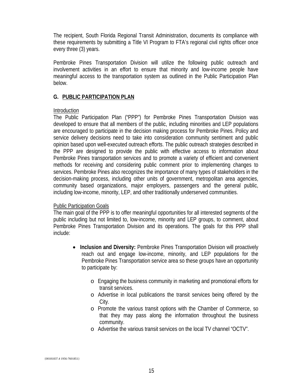The recipient, South Florida Regional Transit Administration, documents its compliance with these requirements by submitting a Title VI Program to FTA's regional civil rights officer once every three (3) years.

Pembroke Pines Transportation Division will utilize the following public outreach and involvement activities in an effort to ensure that minority and low-income people have meaningful access to the transportation system as outlined in the Public Participation Plan below.

#### **G. PUBLIC PARTICIPATION PLAN**

#### **Introduction**

The Public Participation Plan ("PPP") for Pembroke Pines Transportation Division was developed to ensure that all members of the public, including minorities and LEP populations are encouraged to participate in the decision making process for Pembroke Pines. Policy and service delivery decisions need to take into consideration community sentiment and public opinion based upon well-executed outreach efforts. The public outreach strategies described in the PPP are designed to provide the public with effective access to information about Pembroke Pines transportation services and to promote a variety of efficient and convenient methods for receiving and considering public comment prior to implementing changes to services. Pembroke Pines also recognizes the importance of many types of stakeholders in the decision-making process, including other units of government, metropolitan area agencies, community based organizations, major employers, passengers and the general public, including low-income, minority, LEP, and other traditionally underserved communities.

#### Public Participation Goals

The main goal of the PPP is to offer meaningful opportunities for all interested segments of the public including but not limited to, low-income, minority and LEP groups, to comment, about Pembroke Pines Transportation Division and its operations. The goals for this PPP shall include:

- **Inclusion and Diversity:** Pembroke Pines Transportation Division will proactively reach out and engage low-income, minority, and LEP populations for the Pembroke Pines Transportation service area so these groups have an opportunity to participate by:
	- o Engaging the business community in marketing and promotional efforts for transit services.
	- o Advertise in local publications the transit services being offered by the City.
	- o Promote the various transit options with the Chamber of Commerce, so that they may pass along the information throughout the business community.
	- o Advertise the various transit services on the local TV channel "OCTV".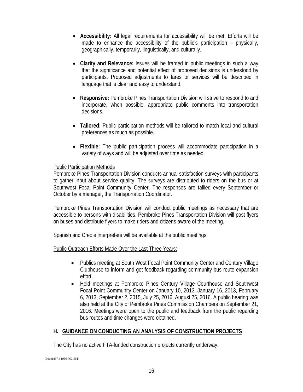- **Accessibility:** All legal requirements for accessibility will be met. Efforts will be made to enhance the accessibility of the public's participation – physically, geographically, temporarily, linguistically, and culturally.
- **Clarity and Relevance:** Issues will be framed in public meetings in such a way that the significance and potential effect of proposed decisions is understood by participants. Proposed adjustments to fares or services will be described in language that is clear and easy to understand.
- **Responsive:** Pembroke Pines Transportation Division will strive to respond to and incorporate, when possible, appropriate public comments into transportation decisions.
- **Tailored:** Public participation methods will be tailored to match local and cultural preferences as much as possible.
- **Flexible:** The public participation process will accommodate participation in a variety of ways and will be adjusted over time as needed.

## Public Participation Methods

Pembroke Pines Transportation Division conducts annual satisfaction surveys with participants to gather input about service quality. The surveys are distributed to riders on the bus or at Southwest Focal Point Community Center. The responses are tallied every September or October by a manager, the Transportation Coordinator.

Pembroke Pines Transportation Division will conduct public meetings as necessary that are accessible to persons with disabilities. Pembroke Pines Transportation Division will post flyers on buses and distribute flyers to make riders and citizens aware of the meeting.

Spanish and Creole interpreters will be available at the public meetings.

#### Public Outreach Efforts Made Over the Last Three Years:

- Publics meeting at South West Focal Point Community Center and Century Village Clubhouse to inform and get feedback regarding community bus route expansion effort.
- Held meetings at Pembroke Pines Century Village Courthouse and Southwest Focal Point Community Center on January 10, 2013, January 16, 2013, February 6, 2013, September 2, 2015, July 25, 2016, August 25, 2016. A public hearing was also held at the City of Pembroke Pines Commission Chambers on September 21, 2016. Meetings were open to the public and feedback from the public regarding bus routes and time changes were obtained.

## **H. GUIDANCE ON CONDUCTING AN ANALYSIS OF CONSTRUCTION PROJECTS**

The City has no active FTA-funded construction projects currently underway.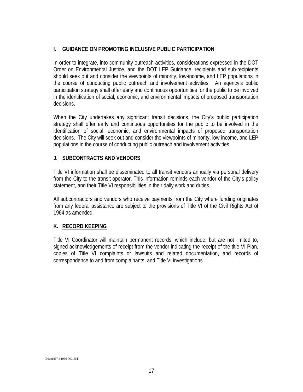#### **I. GUIDANCE ON PROMOTING INCLUSIVE PUBLIC PARTICIPATION**

In order to integrate, into community outreach activities, considerations expressed in the DOT Order on Environmental Justice, and the DOT LEP Guidance, recipients and sub-recipients should seek out and consider the viewpoints of minority, low-income, and LEP populations in the course of conducting public outreach and involvement activities. An agency's public participation strategy shall offer early and continuous opportunities for the public to be involved in the identification of social, economic, and environmental impacts of proposed transportation decisions.

When the City undertakes any significant transit decisions, the City's public participation strategy shall offer early and continuous opportunities for the public to be involved in the identification of social, economic, and environmental impacts of proposed transportation decisions. The City will seek out and consider the viewpoints of minority, low-income, and LEP populations in the course of conducting public outreach and involvement activities.

#### **J. SUBCONTRACTS AND VENDORS**

Title VI information shall be disseminated to all transit vendors annually via personal delivery from the City to the transit operator. This information reminds each vendor of the City's policy statement, and their Title VI responsibilities in their daily work and duties.

All subcontractors and vendors who receive payments from the City where funding originates from any federal assistance are subject to the provisions of Title VI of the Civil Rights Act of 1964 as amended.

#### **K. RECORD KEEPING**

Title VI Coordinator will maintain permanent records, which include, but are not limited to, signed acknowledgements of receipt from the vendor indicating the receipt of the title VI Plan, copies of Title VI complaints or lawsuits and related documentation, and records of correspondence to and from complainants, and Title VI investigations.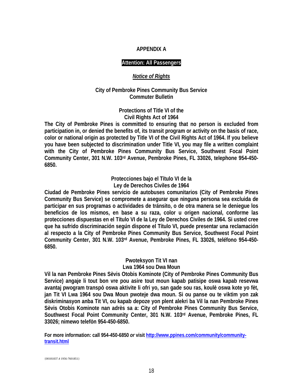#### **APPENDIX A**

#### **Attention: All Passengers**

#### *Notice of Rights*

#### **City of Pembroke Pines Community Bus Service Commuter Bulletin**

#### **Protections of Title VI of the Civil Rights Act of 1964**

**The City of Pembroke Pines is committed to ensuring that no person is excluded from participation in, or denied the benefits of, its transit program or activity on the basis of race, color or national origin as protected by Title VI of the Civil Rights Act of 1964. If you believe you have been subjected to discrimination under Title VI, you may file a written complaint with the City of Pembroke Pines Community Bus Service, Southwest Focal Point Community Center, 301 N.W. 103rd Avenue, Pembroke Pines, FL 33026, telephone 954-450- 6850.**

> **Protecciones bajo el Título VI de la Ley de Derechos Civiles de 1964**

**Ciudad de Pembroke Pines servicio de autobuses comunitarios (City of Pembroke Pines Community Bus Service) se compromete a asegurar que ninguna persona sea excluida de participar en sus programas o actividades de tránsito, o de otra manera se le deniegue los beneficios de los mismos, en base a su raza, color u origen nacional, conforme las protecciones dispuestas en el Título VI de la Ley de Derechos Civiles de 1964. Si usted cree que ha sufrido discriminación según dispone el Título VI, puede presentar una reclamación al respecto a la City of Pembroke Pines Community Bus Service, Southwest Focal Point Community Center, 301 N.W. 103rd Avenue, Pembroke Pines, FL 33026, teléfono 954-450- 6850.**

#### **Pwoteksyon Tit VI nan Lwa 1964 sou Dwa Moun**

**Vil la nan Pembroke Pines Sèvis Otobis Kominote (City of Pembroke Pines Community Bus Service) angaje li tout bon vre pou asire tout moun kapab patisipe oswa kapab resevwa avantaj pwogram transpò oswa aktivite li ofri yo, san gade sou ras, koulè oswa kote yo fèt, jan Tit VI Lwa 1964 sou Dwa Moun pwoteje dwa moun. Si ou panse ou te viktim yon zak diskriminasyon anba Tit VI, ou kapab depoze yon plent alekri ba Vil la nan Pembroke Pines Sèvis Otobis Kominote nan adrès sa a: City of Pembroke Pines Community Bus Service, Southwest Focal Point Community Center, 301 N.W. 103rd Avenue, Pembroke Pines, FL 33026; nimewo telefòn 954-450-6850.**

**For more information: call 954-450-6850** *or* **visit [http://www.ppines.com/community/community](http://www.ppines.com/community/community-transit.html)[transit.html](http://www.ppines.com/community/community-transit.html)**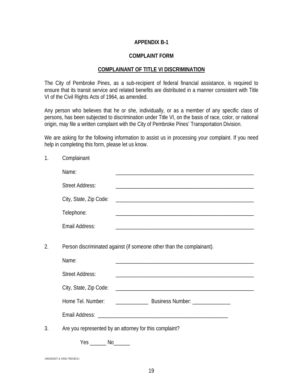#### **APPENDIX B-1**

#### **COMPLAINT FORM**

#### **COMPLAINANT OF TITLE VI DISCRIMINATION**

The City of Pembroke Pines, as a sub-recipient of federal financial assistance, is required to ensure that its transit service and related benefits are distributed in a manner consistent with Title VI of the Civil Rights Acts of 1964, as amended.

Any person who believes that he or she, individually, or as a member of any specific class of persons, has been subjected to discrimination under Title VI, on the basis of race, color, or national origin, may file a written complaint with the City of Pembroke Pines' Transportation Division.

We are asking for the following information to assist us in processing your complaint. If you need help in completing this form, please let us know.

|    | Name:                  |                                                                       |  |
|----|------------------------|-----------------------------------------------------------------------|--|
|    | <b>Street Address:</b> |                                                                       |  |
|    | City, State, Zip Code: |                                                                       |  |
|    | Telephone:             |                                                                       |  |
|    | Email Address:         |                                                                       |  |
| 2. |                        | Person discriminated against (if someone other than the complainant). |  |
|    | Name:                  |                                                                       |  |
|    | <b>Street Address:</b> |                                                                       |  |
|    |                        |                                                                       |  |
|    | Home Tel. Number:      |                                                                       |  |
|    |                        |                                                                       |  |
| 3. |                        | Are you represented by an attorney for this complaint?                |  |
|    | $Yes$ No $\_\_\_\$     |                                                                       |  |
|    |                        |                                                                       |  |

{00181837.4 1956-7601851}

1. Complainant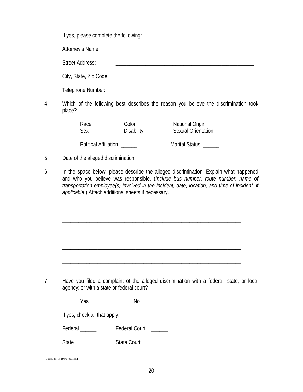If yes, please complete the following:

|    | Attorney's Name:                                                                               |  |  |  |
|----|------------------------------------------------------------------------------------------------|--|--|--|
|    | <b>Street Address:</b>                                                                         |  |  |  |
|    | City, State, Zip Code:                                                                         |  |  |  |
|    | Telephone Number:                                                                              |  |  |  |
| 4. | Which of the following best describes the reason you believe the discrimination took<br>place? |  |  |  |

Race \_\_\_\_\_ Color \_\_\_\_\_ National Origin Sex Disability Disability Dexual Orientation

Political Affiliation \_\_\_\_\_\_ Marital Status \_\_\_\_\_

- 5. Date of the alleged discrimination: Department of the alleged discrimination:
- 6. In the space below, please describe the alleged discrimination. Explain what happened and who you believe was responsible. (*Include bus number, route number, name of transportation employee(s) involved in the incident, date, location, and time of incident, if applicable*.) Attach additional sheets if necessary.

\_\_\_\_\_\_\_\_\_\_\_\_\_\_\_\_\_\_\_\_\_\_\_\_\_\_\_\_\_\_\_\_\_\_\_\_\_\_\_\_\_\_\_\_\_\_\_\_\_\_\_\_\_\_\_\_\_\_\_\_\_\_\_\_\_\_

\_\_\_\_\_\_\_\_\_\_\_\_\_\_\_\_\_\_\_\_\_\_\_\_\_\_\_\_\_\_\_\_\_\_\_\_\_\_\_\_\_\_\_\_\_\_\_\_\_\_\_\_\_\_\_\_\_\_\_\_\_\_\_\_\_\_

\_\_\_\_\_\_\_\_\_\_\_\_\_\_\_\_\_\_\_\_\_\_\_\_\_\_\_\_\_\_\_\_\_\_\_\_\_\_\_\_\_\_\_\_\_\_\_\_\_\_\_\_\_\_\_\_\_\_\_\_\_\_\_\_\_\_

7. Have you filed a complaint of the alleged discrimination with a federal, state, or local agency; or with a state or federal court?

\_\_\_\_\_\_\_\_\_\_\_\_\_\_\_\_\_\_\_\_\_\_\_\_\_\_\_\_\_\_\_\_\_\_\_\_\_\_\_\_\_\_\_\_\_\_\_\_\_\_\_\_\_\_\_\_\_\_\_\_\_\_\_\_\_\_

| Yes. | N٢ |
|------|----|
|------|----|

If yes, check all that apply:

Federal \_\_\_\_\_\_ Federal Court \_\_\_\_\_

State \_\_\_\_\_\_\_\_ State Court \_\_\_\_\_\_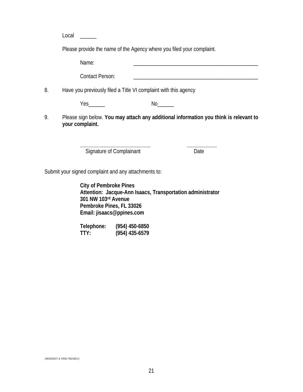Local  $\Box$ 

Please provide the name of the Agency where you filed your complaint.

Name: \_\_\_\_\_\_\_\_\_\_\_\_\_\_\_\_\_\_\_\_\_\_\_\_\_\_\_\_\_\_\_\_\_\_\_\_\_\_\_\_\_\_\_\_\_\_

Contact Person:

8. Have you previously filed a Title VI complaint with this agency

Yes No

9. Please sign below. **You may attach any additional information you think is relevant to your complaint.**

**\_\_\_\_\_\_\_\_\_\_\_\_\_\_\_\_\_\_\_\_\_\_\_\_\_\_ \_\_\_\_\_\_\_\_\_\_\_**

Signature of Complainant Date

Submit your signed complaint and any attachments to:

**City of Pembroke Pines Attention: Jacque-Ann Isaacs, Transportation administrator 301 NW 103rd Avenue Pembroke Pines, FL 33026 Email: jisaacs@ppines.com**

**Telephone: (954) 450-6850 TTY: (954) 435-6579**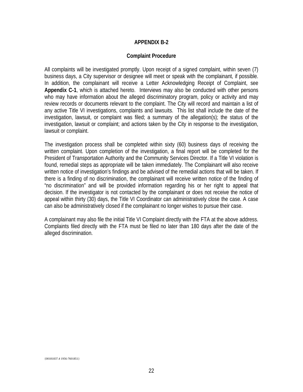#### **APPENDIX B-2**

#### **Complaint Procedure**

All complaints will be investigated promptly. Upon receipt of a signed complaint, within seven (7) business days, a City supervisor or designee will meet or speak with the complainant, if possible. In addition, the complainant will receive a Letter Acknowledging Receipt of Complaint, see **Appendix C-1**, which is attached hereto. Interviews may also be conducted with other persons who may have information about the alleged discriminatory program, policy or activity and may review records or documents relevant to the complaint. The City will record and maintain a list of any active Title VI investigations, complaints and lawsuits. This list shall include the date of the investigation, lawsuit, or complaint was filed; a summary of the allegation(s); the status of the investigation, lawsuit or complaint; and actions taken by the City in response to the investigation, lawsuit or complaint.

The investigation process shall be completed within sixty (60) business days of receiving the written complaint. Upon completion of the investigation, a final report will be completed for the President of Transportation Authority and the Community Services Director. If a Title VI violation is found, remedial steps as appropriate will be taken immediately. The Complainant will also receive written notice of investigation's findings and be advised of the remedial actions that will be taken. If there is a finding of no discrimination, the complainant will receive written notice of the finding of "no discrimination" and will be provided information regarding his or her right to appeal that decision. If the investigator is not contacted by the complainant or does not receive the notice of appeal within thirty (30) days, the Title VI Coordinator can administratively close the case. A case can also be administratively closed if the complainant no longer wishes to pursue their case.

A complainant may also file the initial Title VI Complaint directly with the FTA at the above address. Complaints filed directly with the FTA must be filed no later than 180 days after the date of the alleged discrimination.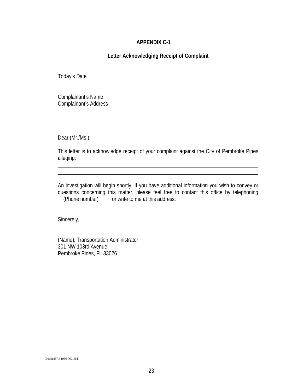#### **APPENDIX C-1**

#### **Letter Acknowledging Receipt of Complaint**

Today's Date

Complainant's Name Complainant's Address

Dear (Mr./Ms.):

This letter is to acknowledge receipt of your complaint against the City of Pembroke Pines alleging:

\_\_\_\_\_\_\_\_\_\_\_\_\_\_\_\_\_\_\_\_\_\_\_\_\_\_\_\_\_\_\_\_\_\_\_\_\_\_\_\_\_\_\_\_\_\_\_\_\_\_\_\_\_\_\_\_\_\_\_\_\_\_\_\_\_\_\_\_\_\_\_\_\_\_ \_\_\_\_\_\_\_\_\_\_\_\_\_\_\_\_\_\_\_\_\_\_\_\_\_\_\_\_\_\_\_\_\_\_\_\_\_\_\_\_\_\_\_\_\_\_\_\_\_\_\_\_\_\_\_\_\_\_\_\_\_\_\_\_\_\_\_\_\_\_\_\_\_\_

An investigation will begin shortly. If you have additional information you wish to convey or questions concerning this matter, please feel free to contact this office by telephoning \_\_(Phone number)\_\_\_\_, or write to me at this address.

Sincerely,

(Name), Transportation Administrator 301 NW 103rd Avenue Pembroke Pines, FL 33026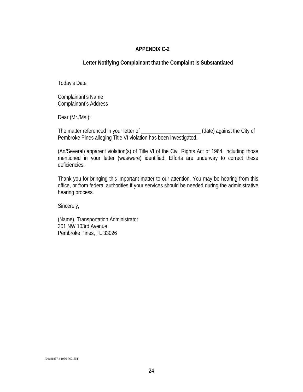#### **APPENDIX C-2**

#### **Letter Notifying Complainant that the Complaint is Substantiated**

Today's Date

Complainant's Name Complainant's Address

Dear (Mr./Ms.):

The matter referenced in your letter of \_\_\_\_\_\_\_\_\_\_\_\_\_\_\_\_\_\_\_\_\_\_\_\_\_\_\_(date) against the City of Pembroke Pines alleging Title VI violation has been investigated.

(An/Several) apparent violation(s) of Title VI of the Civil Rights Act of 1964, including those mentioned in your letter (was/were) identified. Efforts are underway to correct these deficiencies.

Thank you for bringing this important matter to our attention. You may be hearing from this office, or from federal authorities if your services should be needed during the administrative hearing process.

Sincerely,

(Name), Transportation Administrator 301 NW 103rd Avenue Pembroke Pines, FL 33026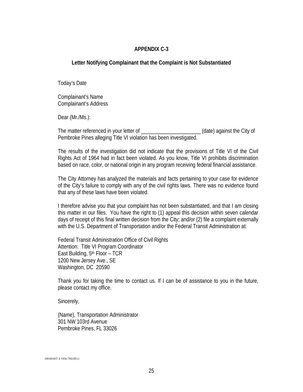#### **APPENDIX C-3**

#### **Letter Notifying Complainant that the Complaint is Not Substantiated**

Today's Date

Complainant's Name Complainant's Address

Dear (Mr./Ms.):

The matter referenced in your letter of  $(date)$  against the City of Pembroke Pines alleging Title VI violation has been investigated.

The results of the investigation did not indicate that the provisions of Title VI of the Civil Rights Act of 1964 had in fact been violated. As you know, Title VI prohibits discrimination based on race, color, or national origin in any program receiving federal financial assistance.

The City Attorney has analyzed the materials and facts pertaining to your case for evidence of the City's failure to comply with any of the civil rights laws. There was no evidence found that any of these laws have been violated.

I therefore advise you that your complaint has not been substantiated, and that I am closing this matter in our files. You have the right to (1) appeal this decision within seven calendar days of receipt of this final written decision from the City; and/or (2) file a complaint externally with the U.S. Department of Transportation and/or the Federal Transit Administration at:

Federal Transit Administration Office of Civil Rights Attention: Title VI Program Coordinator East Building, 5<sup>th</sup> Floor - TCR 1200 New Jersey Ave., SE Washington, DC 20590

Thank you for taking the time to contact us. If I can be of assistance to you in the future, please contact my office.

Sincerely,

(Name), Transportation Administrator 301 NW 103rd Avenue Pembroke Pines, FL 33026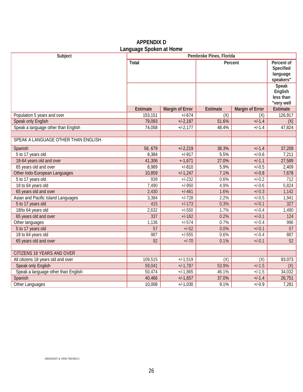|                                     | Laliyuaye Spokeli at Hollie |                        |          |                        |                                                  |
|-------------------------------------|-----------------------------|------------------------|----------|------------------------|--------------------------------------------------|
| Subject                             | Pembroke Pines, Florida     |                        |          |                        |                                                  |
|                                     | <b>Total</b>                |                        |          | Percent                | Percent of<br>Specified<br>language<br>speakers" |
|                                     |                             |                        |          |                        | Speak<br>English<br>less than<br>"very well      |
|                                     | <b>Estimate</b>             | <b>Margin of Error</b> | Estimate | <b>Margin of Error</b> | Estimate                                         |
| Population 5 years and over         | 153,151                     | $+/-674$               | (X)      | (X)                    | 126,917                                          |
| Speak only English                  | 79,093                      | $+/-2,187$             | 51.6%    | $+/-1.4$               | (X)                                              |
| Speak a language other than English | 74,058                      | $+/-2,177$             | 48.4%    | $+/-1.4$               | 47,824                                           |
| SPEAK A LANGUAGE OTHER THAN ENGLISH |                             |                        |          |                        |                                                  |
| Spanish                             | 58,679                      | $+1-2,219$             | 38.3%    | $+/-1.4$               | 37,209                                           |
| 5 to 17 years old                   | 8,384                       | $+/-917$               | 5.5%     | $+/-0.6$               | 7,211                                            |
| 18-64 years old and over            | 41,306                      | $+ -1,671$             | 27.0%    | $+/-1.1$               | 27,589                                           |
| 65 years old and over               | 8,989                       | $+/-810$               | 5.9%     | $+/-0.5$               | 2,409                                            |
| Other Indo-European Languages       | 10,859                      | $+1.1,247$             | 7.1%     | $+/-0.8$               | 7,678                                            |
| 5 to 17 years old                   | 939                         | $+/-232$               | 0.6%     | $+/-0.2$               | 712                                              |
| 18 to 64 years old                  | 7,490                       | $+/-950$               | 4.9%     | $+/-0.6$               | 5,824                                            |
| 65 years old and over               | 2,430                       | $+/-461$               | 1.6%     | $+/-0.3$               | 1,142                                            |
| Asian and Pacific Island Languages  | 3,384                       | $+/-728$               | 2.2%     | $+/-0.5$               | 1,941                                            |
| 5 to 17 years old                   | 415                         | $+/-173$               | 0.3%     | $+/-0.1$               | 327                                              |
| 18/to 64 years old                  | 2,632                       | $+/-550$               | 1.7%     | $+/-0.4$               | 1,490                                            |
| 65 years old and over               | 337                         | $+/-162$               | 0.2%     | $+/-0.1$               | 124                                              |
| Other languages                     | 1,136                       | $+/-574$               | 0.7%     | $+/-0.4$               | 996                                              |
| 5 to 17 years old                   | 57                          | $+/-52$                | 0.0%     | $+/-0.1$               | 57                                               |
| 18 to 64 years old                  | 987                         | $+/-555$               | 0.6%     | $+/-0.4$               | 887                                              |
| 65 years old and over               | 92                          | $+/-70$                | 0.1%     | $+/-0.1$               | 52                                               |
| CITIZENS 18 YEARS AND OVER          |                             |                        |          |                        |                                                  |
| All citizens 18 years old and over  | 109,515                     | $+/-1,519$             | (X)      | (X)                    | 93.073                                           |
| Speak only English                  | 59,041                      | $+1.787$               | 53.9%    | $+/-1.5$               |                                                  |
| Speak a language other than English | 50,474                      | $+/-1,865$             | 46.1%    | $+/-1.5$               | (X)<br>34,032                                    |
| Spanish                             | 40,466                      | $+1.1,657$             | 37.0%    | $+/-1.4$               | 26,751                                           |
|                                     |                             |                        |          |                        |                                                  |

## **APPENDIX D Language Spoken at Home**

Other Languages **10,008** +/-1,030 9.1% +/-0.9 7,281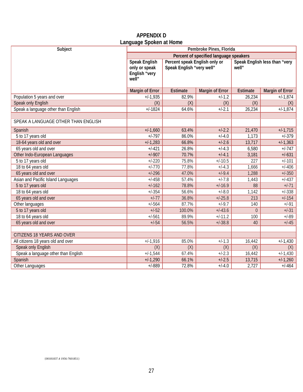## **APPENDIX D Language Spoken at Home**

| Subject                             | Pembroke Pines, Florida                                         |                                                            |                        |                 |                               |  |
|-------------------------------------|-----------------------------------------------------------------|------------------------------------------------------------|------------------------|-----------------|-------------------------------|--|
|                                     | Percent of specified language speakers                          |                                                            |                        |                 |                               |  |
|                                     | <b>Speak English</b><br>only or speak<br>English "very<br>well" | Percent speak English only or<br>Speak English "very well" |                        | well"           | Speak English less than "very |  |
|                                     | <b>Margin of Error</b>                                          | <b>Estimate</b>                                            | <b>Margin of Error</b> | <b>Estimate</b> | <b>Margin of Error</b>        |  |
| Population 5 years and over         | $+/-1,935$                                                      | 82.9%                                                      | $+/-1.2$               | 26,234          | $+/-1,874$                    |  |
| Speak only English                  | (X)                                                             | (X)                                                        | (X)                    | (X)             | (X)                           |  |
| Speak a language other than English | $+/-1824$                                                       | 64.6%                                                      | $+/-2.1$               | 26,234          | $+/-1,874$                    |  |
|                                     |                                                                 |                                                            |                        |                 |                               |  |
| SPEAK A LANGUAGE OTHER THAN ENGLISH |                                                                 |                                                            |                        |                 |                               |  |
| Spanish                             | $+/-1,660$                                                      | 63.4%                                                      | $+/-2.2$               | 21,470          | $+1.715$                      |  |
| 5 to 17 years old                   | $+/-797$                                                        | 86.0%                                                      | $+/-4.0$               | 1,173           | $+/-379$                      |  |
| 18-64 years old and over            | $+/-1,283$                                                      | 66.8%                                                      | $+/-2.6$               | 13,717          | $+1.363$                      |  |
| 65 years old and over               | $+/-421$                                                        | 26.8%                                                      | $+/-4.3$               | 6,580           | $+/-747$                      |  |
| Other Indo-European Languages       | $+/-907$                                                        | 70.7%                                                      | $+/-4.1$               | 3,181           | $+/-631$                      |  |
| 5 to 17 years old                   | $+/-220$                                                        | 75.8%                                                      | $+/-10.5$              | 227             | $+/-101$                      |  |
| 18 to 64 years old                  | $+/-770$                                                        | 77.8%                                                      | $+/-4.3$               | 1,666           | $+/-406$                      |  |
| 65 years old and over               | $+/-296$                                                        | 47.0%                                                      | $+/-9.4$               | 1,288           | $+/-350$                      |  |
| Asian and Pacific Island Languages  | $+/-458$                                                        | 57.4%                                                      | $+/-7.8$               | 1,443           | $+/-437$                      |  |
| 5 to 17 years old                   | $+/-162$                                                        | 78.8%                                                      | $+/-16.9$              | 88              | $+/-71$                       |  |
| 18 to 64 years old                  | $+/-354$                                                        | 56.6%                                                      | $+/-8.0$               | 1,142           | $+/-338$                      |  |
| 65 years old and over               | $+/-77$                                                         | 36.8%                                                      | $+/-25.8$              | 213             | $+/-154$                      |  |
| Other languages                     | $+/-564$                                                        | 87.7%                                                      | $+/-9.7$               | 140             | $+/-91$                       |  |
| 5 to 17 years old                   | $+/-52$                                                         | 100.0%                                                     | $+/-43.6$              | $\theta$        | $+/-31$                       |  |
| 18 to 64 years old                  | $+/-561$                                                        | 89.9%                                                      | $+/-11.2$              | 100             | $+/-89$                       |  |
| 65 years old and over               | $+/-54$                                                         | 56.5%                                                      | $+/-38.8$              | 40              | $+/-45$                       |  |
|                                     |                                                                 |                                                            |                        |                 |                               |  |
| <b>CITIZENS 18 YEARS AND OVER</b>   |                                                                 |                                                            |                        |                 |                               |  |
| All citizens 18 years old and over  | $+/-1,916$                                                      | 85.0%                                                      | $+/-1.3$               | 16,442          | $+/-1,430$                    |  |
| Speak only English                  | (X)                                                             | (X)                                                        | (X)                    | (X)             | (X)                           |  |
| Speak a language other than English | $+/-1,544$                                                      | 67.4%                                                      | $+/-2.3$               | 16,442          | $+/-1,430$                    |  |
| Spanish                             | $+/-1,290$                                                      | 66.1%                                                      | $+/-2.5$               | 13,715          | $+/-1,260$                    |  |
| Other Languages                     | $+/-889$                                                        | 72.8%                                                      | $+/-4.0$               | 2,727           | $+/-464$                      |  |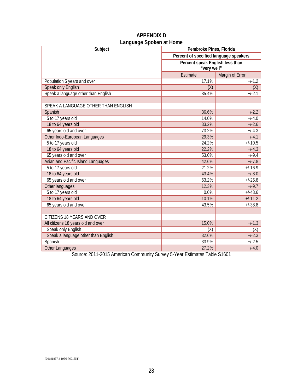| Languago oponon at nomo<br>Subject  | Pembroke Pines, Florida                |                 |  |
|-------------------------------------|----------------------------------------|-----------------|--|
|                                     | Percent of specified language speakers |                 |  |
|                                     | Percent speak English less than        |                 |  |
|                                     | "very well"                            |                 |  |
|                                     | Estimate                               | Margin of Error |  |
| Population 5 years and over         | 17.1%                                  | $+/-1.2$        |  |
| Speak only English                  | (X)                                    | (X)             |  |
| Speak a language other than English | 35.4%                                  | $+/-2.1$        |  |
|                                     |                                        |                 |  |
| SPEAK A LANGUAGE OTHER THAN ENGLISH |                                        |                 |  |
| Spanish                             | 36.6%                                  | $+/-2.2$        |  |
| 5 to 17 years old                   | 14.0%                                  | $+/-4.0$        |  |
| 18 to 64 years old                  | 33.2%                                  | $+/-2.6$        |  |
| 65 years old and over               | 73.2%                                  | $+/-4.3$        |  |
| Other Indo-European Languages       | 29.3%                                  | $+/-4.1$        |  |
| 5 to 17 years old                   | 24.2%                                  | $+/-10.5$       |  |
| 18 to 64 years old                  | 22.2%                                  | $+/-4.3$        |  |
| 65 years old and over               | 53.0%                                  | $+/-9.4$        |  |
| Asian and Pacific Island Languages  | 42.6%                                  | $+/-7.8$        |  |
| 5 to 17 years old                   | 21.2%                                  | $+/-16.9$       |  |
| 18 to 64 years old                  | 43.4%                                  | $+/-8.0$        |  |
| 65 years old and over               | 63.2%                                  | $+/-25.8$       |  |
| Other languages                     | 12.3%                                  | $+/-9.7$        |  |
| 5 to 17 years old                   | 0.0%                                   | $+/-43.6$       |  |
| 18 to 64 years old                  | 10.1%                                  | $+1 - 11.2$     |  |
| 65 years old and over               | 43.5%                                  | $+/-38.8$       |  |
|                                     |                                        |                 |  |
| CITIZENS 18 YEARS AND OVER          |                                        |                 |  |
| All citizens 18 years old and over  | 15.0%                                  | $+/-1.3$        |  |
| Speak only English                  | (X)                                    | (X)             |  |
| Speak a language other than English | 32.6%                                  | $+/-2.3$        |  |
| Spanish                             | 33.9%                                  | $+/-2.5$        |  |
| Other Languages                     | 27.2%                                  | $+/-4.0$        |  |

## **APPENDIX D Language Spoken at Home**

Source: 2011-2015 American Community Survey 5-Year Estimates Table S1601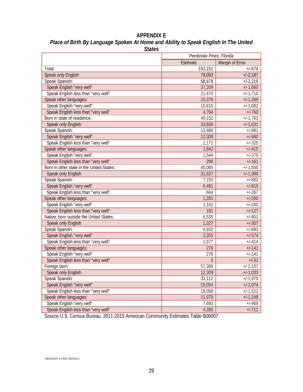## **APPENDIX E** Place of Birth By Language Spoken At Home and Ability to Speak English In The United *States*

|                                           | Pembroke Pines, Florida     |              |  |
|-------------------------------------------|-----------------------------|--------------|--|
|                                           | Margin of Error<br>Estimate |              |  |
| Total:                                    | 153,151                     | $+/-674$     |  |
| Speak only English                        | 79,093                      | $+1-2,187$   |  |
| Speak Spanish:                            | 58,679                      | $+1 - 2,219$ |  |
| Speak English "very well"                 | 37,209                      | $+/-1,660$   |  |
| Speak English less than "very well"       | 21,470                      | $+1.715$     |  |
| Speak other languages:                    | 15,379                      | $+1.389$     |  |
| Speak English "very well"                 | 10,615                      | $+/-1,082$   |  |
| Speak English less than "very well"       | 4,764                       | $+/-760$     |  |
| Born in state of residence:               | 49,152                      | $+1.763$     |  |
| Speak only English                        | 33,830                      | $+/-1,631$   |  |
| Speak Spanish:                            | 13,480                      | $+/-981$     |  |
| Speak English "very well"                 | 12,309                      | $+/-980$     |  |
| Speak English less than "very well"       | 1,171                       | $+/-325$     |  |
| Speak other languages:                    | 1,842                       | $+/-415$     |  |
| Speak English "very well"                 | 1,544                       | $+/-379$     |  |
| Speak English less than "very well"       | 298                         | $+/-161$     |  |
| Born in other state in the United States: | 40,065                      | $+/-1,550$   |  |
| Speak only English                        | 31,627                      | $+1.399$     |  |
| Speak Spanish:                            | 7,155                       | $+/-882$     |  |
| Speak English "very well"                 | 6,491                       | $+/-815$     |  |
| Speak English less than "very well"       | 664                         | $+/-267$     |  |
| Speak other languages:                    | 1,283                       | $+/-260$     |  |
| Speak English "very well"                 | 1,102                       | $+/-240$     |  |
| Speak English less than "very well"       | 181                         | $+/-127$     |  |
| Native; born outside the United States:   | 6,535                       | $+/-801$     |  |
| Speak only English                        | 1,327                       | $+/-307$     |  |
| Speak Spanish:                            | 4,932                       | $+/-693$     |  |
| Speak English "very well"                 | 3,355                       | $+/-574$     |  |
| Speak English less than "very well"       | 1,577                       | $+/-414$     |  |
| Speak other languages:                    | 276                         | $+/-141$     |  |
| Speak English "very well"                 | 276                         | $+/-141$     |  |
| Speak English less than "very well"       | $\overline{0}$              | $+/-31$      |  |
| Foreign born:                             | 57,399                      | $+/-2,107$   |  |
| Speak only English                        | 12,309                      | $+/-1,033$   |  |
| Speak Spanish:                            | 33,112                      | $+1.1,970$   |  |
| Speak English "very well"                 | 15,054                      | $+1.1,074$   |  |
| Speak English less than "very well"       | 18,058                      | $+/-1,522$   |  |
| Speak other languages:                    | 11,978                      | $+1.1,248$   |  |
| Speak English "very well"                 | 7,693                       | $+/-969$     |  |
| Speak English less than "very well"       | 4,285                       | $+/-712$     |  |

Source U.S. Census Bureau, 2011-2015 American Community Estimates Table B06007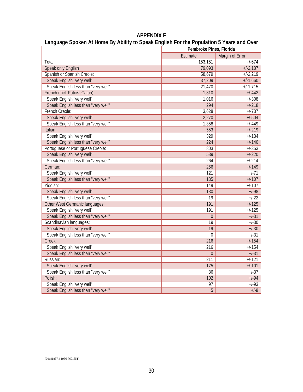| .                                   | Pembroke Pines, Florida |                 |  |
|-------------------------------------|-------------------------|-----------------|--|
|                                     | Estimate                | Margin of Error |  |
| Total:                              | 153,151                 | $+/-674$        |  |
| Speak only English                  | 79,093                  | $+1-2,187$      |  |
| Spanish or Spanish Creole:          | 58,679                  | $+1-2,219$      |  |
| Speak English "very well"           | 37,209                  | $+/-1,660$      |  |
| Speak English less than "very well" | 21,470                  | $+1.715$        |  |
| French (incl. Patois, Cajun):       | 1,310                   | $+/-442$        |  |
| Speak English "very well"           | 1,016                   | $+/-308$        |  |
| Speak English less than "very well" | 294                     | $+/-218$        |  |
| French Creole:                      | 3,628                   | $+/-737$        |  |
| Speak English "very well"           | 2,270                   | $+/-504$        |  |
| Speak English less than "very well" | 1,358                   | $+/-449$        |  |
| Italian:                            | 553                     | $+/-219$        |  |
| Speak English "very well"           | 329                     | $+/-134$        |  |
| Speak English less than "very well" | 224                     | $+/-140$        |  |
| Portuguese or Portuguese Creole:    | 803                     | $+/-353$        |  |
| Speak English "very well"           | 539                     | $+/-220$        |  |
| Speak English less than "very well" | 264                     | $+/-214$        |  |
| German:                             | 256                     | $+/-149$        |  |
| Speak English "very well"           | 121                     | $+/-71$         |  |
| Speak English less than "very well" | 135                     | $+/-107$        |  |
| Yiddish:                            | 149                     | $+/-107$        |  |
| Speak English "very well"           | 130                     | $+/-98$         |  |
| Speak English less than "very well" | 19                      | $+/-22$         |  |
| Other West Germanic languages:      | 191                     | $+/-125$        |  |
| Speak English "very well"           | 191                     | $+/-125$        |  |
| Speak English less than "very well" | $\overline{0}$          | $+/-31$         |  |
| Scandinavian languages:             | 19                      | $+/-30$         |  |
| Speak English "very well"           | 19                      | $+/-30$         |  |
| Speak English less than "very well" | $\mathbf 0$             | $+/-31$         |  |
| Greek:                              | 216                     | $+/-154$        |  |
| Speak English "very well"           | 216                     | $+/-154$        |  |
| Speak English less than "very well" | $\overline{0}$          | $+/-31$         |  |
| Russian:                            | 211                     | $+/-121$        |  |
| Speak English "very well"           | 175                     | $+/-101$        |  |
| Speak English less than "very well" | $\overline{36}$         | $+/-37$         |  |
| Polish:                             | 102                     | $+/-94$         |  |
| Speak English "very well"           | 97                      | $+/-93$         |  |
| Speak English less than "very well" | 5                       | $+/-8$          |  |

**APPENDIX F Language Spoken At Home By Ability to Speak English For the Population 5 Years and Over**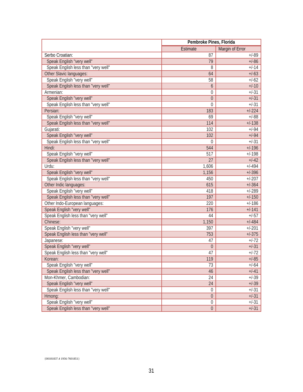|                                     | Pembroke Pines, Florida |                 |
|-------------------------------------|-------------------------|-----------------|
|                                     | Estimate                | Margin of Error |
| Serbo Croatian:                     | 87                      | $+/-89$         |
| Speak English "very well"           | 79                      | $+/-86$         |
| Speak English less than "very well" | 8                       | $+/-14$         |
| Other Slavic languages:             | 64                      | $+/-63$         |
| Speak English "very well"           | 58                      | $+/-62$         |
| Speak English less than "very well" | 6                       | $+/-10$         |
| Armenian:                           | 0                       | $+/-31$         |
| Speak English "very well"           | $\boldsymbol{0}$        | $+/-31$         |
| Speak English less than "very well" | $\overline{0}$          | $+/-31$         |
| Persian:                            | 183                     | $+/-224$        |
| Speak English "very well"           | 69                      | $+/-88$         |
| Speak English less than "very well" | 114                     | $+/-138$        |
| Gujarati:                           | 102                     | $+/-94$         |
| Speak English "very well"           | 102                     | $+/-94$         |
| Speak English less than "very well" | $\Omega$                | $+/-31$         |
| Hindi:                              | 544                     | $+/-196$        |
| Speak English "very well"           | 517                     | $+/-198$        |
| Speak English less than "very well" | 27                      | $+/-42$         |
| Urdu:                               | 1,606                   | $+/-494$        |
| Speak English "very well"           | 1,156                   | $+/-396$        |
| Speak English less than "very well" | 450                     | $+/-207$        |
| Other Indic languages:              | 615                     | $+/-364$        |
| Speak English "very well"           | 418                     | $+/-289$        |
| Speak English less than "very well" | 197                     | $+/-150$        |
| Other Indo-European languages:      | 220                     | $+/-186$        |
| Speak English "very well"           | 176                     | $+/-141$        |
| Speak English less than "very well" | 44                      | $+/-57$         |
| Chinese:                            | 1,150                   | $+/-484$        |
| Speak English "very well"           | 397                     | $+/-201$        |
| Speak English less than "very well" | 753                     | $+/-375$        |
| Japanese:                           | 47                      | $+/-72$         |
| Speak English "very well"           | $\boldsymbol{0}$        | $+/-31$         |
| Speak English less than "very well" | 47                      | $+/-72$         |
| Korean:                             | 119                     | $+/-85$         |
| Speak English "very well"           | 73                      | $+/-64$         |
| Speak English less than "very well" | 46                      | $+/-41$         |
| Mon-Khmer, Cambodian:               | 24                      | $+/-39$         |
| Speak English "very well"           | 24                      | $+/-39$         |
| Speak English less than "very well" | $\boldsymbol{0}$        | $+/-31$         |
| Hmong:                              | $\boldsymbol{0}$        | $+/-31$         |
| Speak English "very well"           | $\boldsymbol{0}$        | $+/-31$         |
| Speak English less than "very well" | $\boldsymbol{0}$        | $+/-31$         |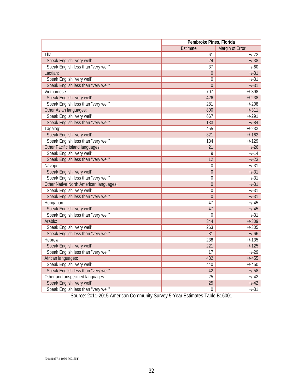|                                        | Pembroke Pines, Florida     |          |  |
|----------------------------------------|-----------------------------|----------|--|
|                                        | Margin of Error<br>Estimate |          |  |
| Thai                                   | 61                          | $+/-72$  |  |
| Speak English "very well"              | 24                          | $+/-38$  |  |
| Speak English less than "very well"    | 37                          | $+/-60$  |  |
| Laotian:                               | $\overline{0}$              | $+/-31$  |  |
| Speak English "very well"              | $\overline{0}$              | $+/-31$  |  |
| Speak English less than "very well"    | $\overline{0}$              | $+/-31$  |  |
| Vietnamese:                            | 707                         | $+/-398$ |  |
| Speak English "very well"              | 426                         | $+/-238$ |  |
| Speak English less than "very well"    | 281                         | $+/-208$ |  |
| Other Asian languages:                 | 800                         | $+/-311$ |  |
| Speak English "very well"              | 667                         | $+/-291$ |  |
| Speak English less than "very well"    | 133                         | $+/-84$  |  |
| Tagalog:                               | 455                         | $+/-233$ |  |
| Speak English "very well"              | 321                         | $+/-162$ |  |
| Speak English less than "very well"    | 134                         | $+/-129$ |  |
| Other Pacific Island languages:        | 21                          | $+/-26$  |  |
| Speak English "very well"              | 9                           | $+/-14$  |  |
| Speak English less than "very well"    | 12                          | $+/-23$  |  |
| Navajo:                                | 0                           | $+/-31$  |  |
| Speak English "very well"              | $\overline{0}$              | $+/-31$  |  |
| Speak English less than "very well"    | $\overline{0}$              | $+/-31$  |  |
| Other Native North American languages: | $\overline{0}$              | $+/-31$  |  |
| Speak English "very well"              | $\overline{0}$              | $+/-31$  |  |
| Speak English less than "very well"    | $\mathbf 0$                 | $+/-31$  |  |
| Hungarian:                             | 47                          | $+/-45$  |  |
| Speak English "very well"              | 47                          | $+/-45$  |  |
| Speak English less than "very well"    | $\overline{0}$              | $+/-31$  |  |
| Arabic:                                | 344                         | $+/-309$ |  |
| Speak English "very well"              | 263                         | $+/-305$ |  |
| Speak English less than "very well"    | 81                          | $+/-66$  |  |
| Hebrew:                                | 238                         | $+/-135$ |  |
| Speak English "very well"              | 221                         | $+/-125$ |  |
| Speak English less than "very well"    | 17                          | $+/-29$  |  |
| African languages:                     | 482                         | $+/-455$ |  |
| Speak English "very well"              | 440                         | $+/-450$ |  |
| Speak English less than "very well"    | 42                          | $+/-58$  |  |
| Other and unspecified languages:       | 25                          | $+/-42$  |  |
| Speak English "very well"              | 25                          | $+/-42$  |  |
| Speak English less than "very well"    | $\overline{0}$              | $+/-31$  |  |

Source: 2011-2015 American Community Survey 5-Year Estimates Table B16001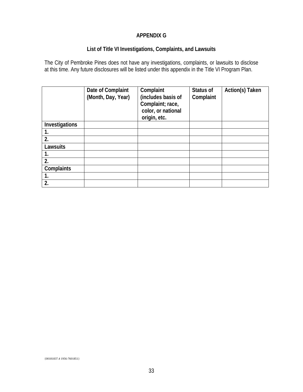## **APPENDIX G**

## **List of Title VI Investigations, Complaints, and Lawsuits**

The City of Pembroke Pines does not have any investigations, complaints, or lawsuits to disclose at this time. Any future disclosures will be listed under this appendix in the Title VI Program Plan.

|                | Date of Complaint<br>(Month, Day, Year) | Complaint<br>(includes basis of<br>Complaint; race,<br>color, or national<br>origin, etc. | Status of<br>Complaint | Action(s) Taken |
|----------------|-----------------------------------------|-------------------------------------------------------------------------------------------|------------------------|-----------------|
| Investigations |                                         |                                                                                           |                        |                 |
| 1.             |                                         |                                                                                           |                        |                 |
| 2.             |                                         |                                                                                           |                        |                 |
| Lawsuits       |                                         |                                                                                           |                        |                 |
| 1.             |                                         |                                                                                           |                        |                 |
| 2.             |                                         |                                                                                           |                        |                 |
| Complaints     |                                         |                                                                                           |                        |                 |
| 1.             |                                         |                                                                                           |                        |                 |
| 2.             |                                         |                                                                                           |                        |                 |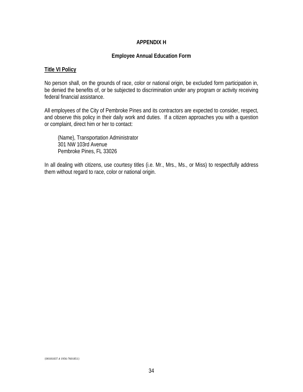#### **APPENDIX H**

#### **Employee Annual Education Form**

#### **Title VI Policy**

No person shall, on the grounds of race, color or national origin, be excluded form participation in, be denied the benefits of, or be subjected to discrimination under any program or activity receiving federal financial assistance.

All employees of the City of Pembroke Pines and its contractors are expected to consider, respect, and observe this policy in their daily work and duties. If a citizen approaches you with a question or complaint, direct him or her to contact:

(Name), Transportation Administrator 301 NW 103rd Avenue Pembroke Pines, FL 33026

In all dealing with citizens, use courtesy titles (i.e. Mr., Mrs., Ms., or Miss) to respectfully address them without regard to race, color or national origin.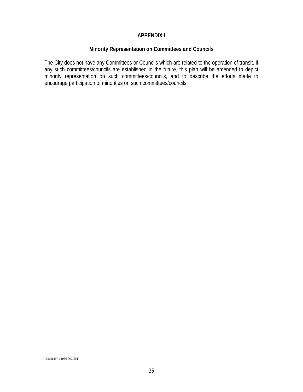#### **APPENDIX I**

#### **Minority Representation on Committees and Councils**

The City does not have any Committees or Councils which are related to the operation of transit. If any such committees/councils are established in the future, this plan will be amended to depict minority representation on such committees/councils, and to describe the efforts made to encourage participation of minorities on such committees/councils.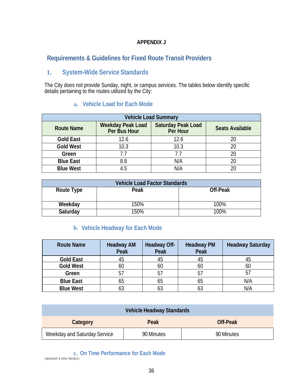## **Requirements & Guidelines for Fixed Route Transit Providers**

# **1. System-Wide Service Standards**

The City does not provide Sunday, night, or campus services. The tables below identify specific details pertaining to the routes utilized by the City:

## **a. Vehicle Load for Each Mode**

| <b>Vehicle Load Summary</b> |                                          |                                       |                        |  |  |  |
|-----------------------------|------------------------------------------|---------------------------------------|------------------------|--|--|--|
| <b>Route Name</b>           | <b>Weekday Peak Load</b><br>Per Bus Hour | <b>Saturday Peak Load</b><br>Per Hour | <b>Seats Available</b> |  |  |  |
| <b>Gold East</b>            | 12.6                                     | 12.6                                  | 20                     |  |  |  |
| <b>Gold West</b>            | 10.3                                     | 10.3                                  | 20                     |  |  |  |
| Green                       | 7.7                                      | 7.7                                   | 20                     |  |  |  |
| <b>Blue East</b>            | 8.8                                      | N/A                                   | 20                     |  |  |  |
| <b>Blue West</b>            | 4.5                                      | N/A                                   |                        |  |  |  |

| <b>Vehicle Load Factor Standards</b> |      |          |  |  |
|--------------------------------------|------|----------|--|--|
| Route Type                           | Peak | Off-Peak |  |  |
|                                      |      |          |  |  |
| Weekday                              | 150% | 100%     |  |  |
| Saturday                             | 150% | 100%     |  |  |

## **b. Vehicle Headway for Each Mode**

| <b>Route Name</b> | <b>Headway AM</b><br>Peak | Headway Off-<br>Peak | <b>Headway PM</b><br>Peak | <b>Headway Saturday</b> |
|-------------------|---------------------------|----------------------|---------------------------|-------------------------|
| <b>Gold East</b>  | 45                        | 45                   |                           | 45                      |
| <b>Gold West</b>  | 60                        | 60                   | 60                        | 60                      |
| Green             |                           | 57                   | 5 <sub>1</sub>            | 57                      |
| <b>Blue East</b>  | 65                        | 65                   | ხე                        | N/A                     |
| <b>Blue West</b>  |                           | 63                   |                           | N/A                     |

| <b>Vehicle Headway Standards</b> |            |            |  |  |  |
|----------------------------------|------------|------------|--|--|--|
| Category                         | Peak       | Off-Peak   |  |  |  |
| Weekday and Saturday Service     | 90 Minutes | 90 Minutes |  |  |  |

**c. On Time Performance for Each Mode**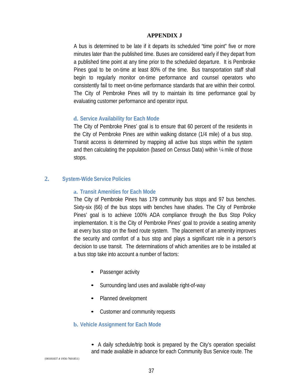A bus is determined to be late if it departs its scheduled "time point" five or more minutes later than the published time. Buses are considered early if they depart from a published time point at any time prior to the scheduled departure. It is Pembroke Pines goal to be on-time at least 80% of the time. Bus transportation staff shall begin to regularly monitor on-time performance and counsel operators who consistently fail to meet on-time performance standards that are within their control. The City of Pembroke Pines will try to maintain its time performance goal by evaluating customer performance and operator input.

#### **d. Service Availability for Each Mode**

The City of Pembroke Pines' goal is to ensure that 60 percent of the residents in the City of Pembroke Pines are within walking distance (1/4 mile) of a bus stop. Transit access is determined by mapping all active bus stops within the system and then calculating the population (based on Census Data) within ¼ mile of those stops.

#### **2. System-Wide Service Policies**

#### **a. Transit Amenities for Each Mode**

The City of Pembroke Pines has 179 community bus stops and 97 bus benches. Sixty-six (66) of the bus stops with benches have shades. The City of Pembroke Pines' goal is to achieve 100% ADA compliance through the Bus Stop Policy implementation. It is the City of Pembroke Pines' goal to provide a seating amenity at every bus stop on the fixed route system. The placement of an amenity improves the security and comfort of a bus stop and plays a significant role in a person's decision to use transit. The determinations of which amenities are to be installed at a bus stop take into account a number of factors:

- Passenger activity
- Surrounding land uses and available right-of-way
- Planned development
- Customer and community requests

#### **b. Vehicle Assignment for Each Mode**

• A daily schedule/trip book is prepared by the City's operation specialist and made available in advance for each Community Bus Service route. The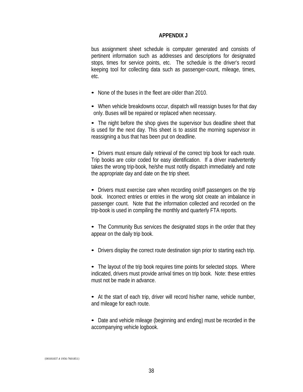bus assignment sheet schedule is computer generated and consists of pertinent information such as addresses and descriptions for designated stops, times for service points, etc. The schedule is the driver's record keeping tool for collecting data such as passenger-count, mileage, times, etc.

- None of the buses in the fleet are older than 2010.
- When vehicle breakdowns occur, dispatch will reassign buses for that day only. Buses will be repaired or replaced when necessary.

• The night before the shop gives the supervisor bus deadline sheet that is used for the next day. This sheet is to assist the morning supervisor in reassigning a bus that has been put on deadline.

• Drivers must ensure daily retrieval of the correct trip book for each route. Trip books are color coded for easy identification. If a driver inadvertently takes the wrong trip-book, he/she must notify dispatch immediately and note the appropriate day and date on the trip sheet.

• Drivers must exercise care when recording on/off passengers on the trip book. Incorrect entries or entries in the wrong slot create an imbalance in passenger count. Note that the information collected and recorded on the trip-book is used in compiling the monthly and quarterly FTA reports.

• The Community Bus services the designated stops in the order that they appear on the daily trip book.

• Drivers display the correct route destination sign prior to starting each trip.

• The layout of the trip book requires time points for selected stops. Where indicated, drivers must provide arrival times on trip book. Note: these entries must not be made in advance.

• At the start of each trip, driver will record his/her name, vehicle number, and mileage for each route.

• Date and vehicle mileage (beginning and ending) must be recorded in the accompanying vehicle logbook.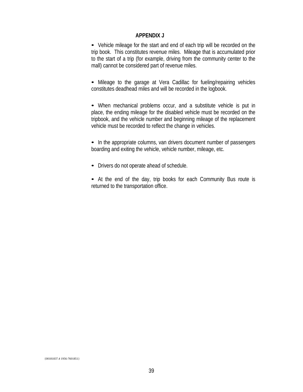• Vehicle mileage for the start and end of each trip will be recorded on the trip book. This constitutes revenue miles. Mileage that is accumulated prior to the start of a trip (for example, driving from the community center to the mall) cannot be considered part of revenue miles.

• Mileage to the garage at Vera Cadillac for fueling/repairing vehicles constitutes deadhead miles and will be recorded in the logbook.

• When mechanical problems occur, and a substitute vehicle is put in place, the ending mileage for the disabled vehicle must be recorded on the tripbook, and the vehicle number and beginning mileage of the replacement vehicle must be recorded to reflect the change in vehicles.

• In the appropriate columns, van drivers document number of passengers boarding and exiting the vehicle, vehicle number, mileage, etc.

- Drivers do not operate ahead of schedule.
- At the end of the day, trip books for each Community Bus route is returned to the transportation office.